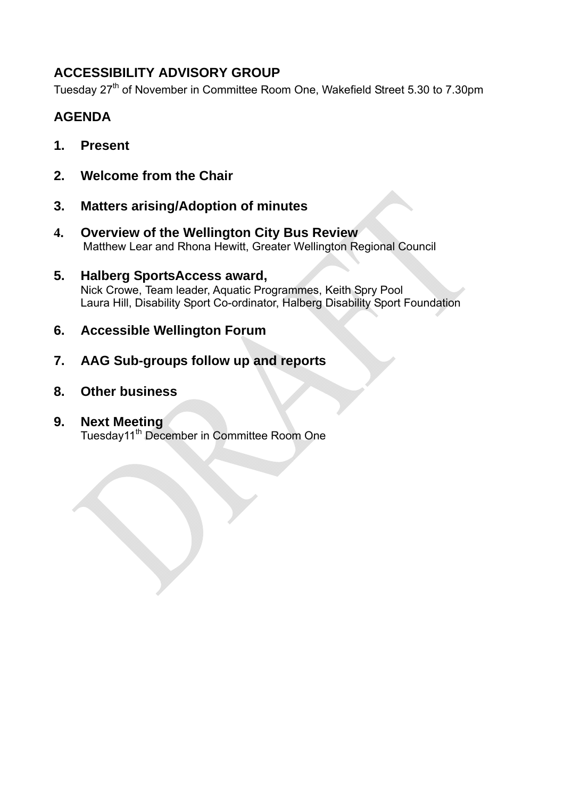# **ACCESSIBILITY ADVISORY GROUP**

Tuesday 27<sup>th</sup> of November in Committee Room One, Wakefield Street 5.30 to 7.30pm

# **AGENDA**

- **1. Present**
- **2. Welcome from the Chair**
- **3. Matters arising/Adoption of minutes**
- **4. Overview of the Wellington City Bus Review** Matthew Lear and Rhona Hewitt, Greater Wellington Regional Council
- **5. Halberg SportsAccess award,**  Nick Crowe, Team leader, Aquatic Programmes, Keith Spry Pool Laura Hill, Disability Sport Co-ordinator, Halberg Disability Sport Foundation
- **6. Accessible Wellington Forum**
- **7. AAG Sub-groups follow up and reports**
- **8. Other business**

### **9. Next Meeting**  Tuesday11th December in Committee Room One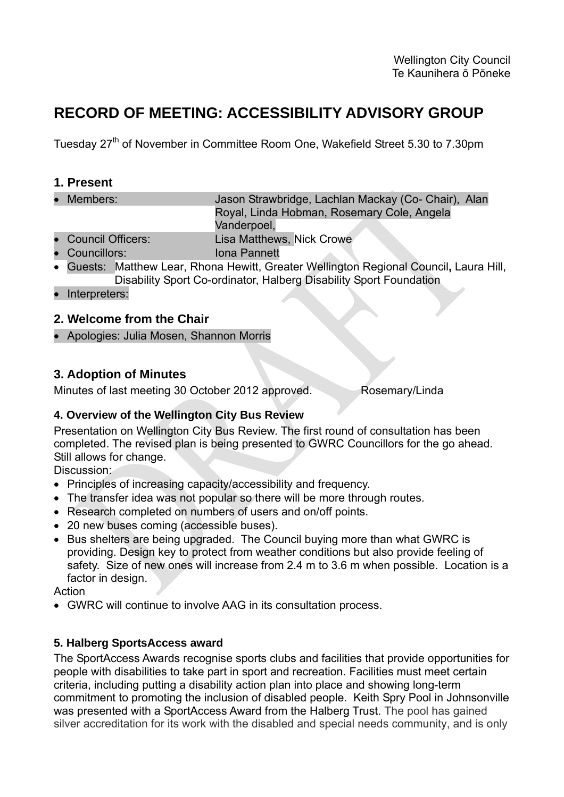# **RECORD OF MEETING: ACCESSIBILITY ADVISORY GROUP**

Tuesday 27<sup>th</sup> of November in Committee Room One, Wakefield Street 5.30 to 7.30pm

### **1. Present**

- Members: Jason Strawbridge, Lachlan Mackay (Co- Chair), Alan Royal, Linda Hobman, Rosemary Cole, Angela Vanderpoel,
- Council Officers: Lisa Matthews, Nick Crowe
- Councillors: Iona Pannett
- Guests: Matthew Lear, Rhona Hewitt, Greater Wellington Regional Council**,** Laura Hill, Disability Sport Co-ordinator, Halberg Disability Sport Foundation
- Interpreters:

### **2. Welcome from the Chair**

Apologies: Julia Mosen, Shannon Morris

### **3. Adoption of Minutes**

Minutes of last meeting 30 October 2012 approved. Rosemary/Linda

### **4. Overview of the Wellington City Bus Review**

Presentation on Wellington City Bus Review. The first round of consultation has been completed. The revised plan is being presented to GWRC Councillors for the go ahead. Still allows for change.

Discussion:

- Principles of increasing capacity/accessibility and frequency.
- The transfer idea was not popular so there will be more through routes.
- Research completed on numbers of users and on/off points.
- 20 new buses coming (accessible buses).
- Bus shelters are being upgraded. The Council buying more than what GWRC is providing. Design key to protect from weather conditions but also provide feeling of safety. Size of new ones will increase from 2.4 m to 3.6 m when possible. Location is a factor in design.

**Action** 

GWRC will continue to involve AAG in its consultation process.

### **5. Halberg SportsAccess award**

The SportAccess Awards recognise sports clubs and facilities that provide opportunities for people with disabilities to take part in sport and recreation. Facilities must meet certain criteria, including putting a disability action plan into place and showing long-term commitment to promoting the inclusion of disabled people. Keith Spry Pool in Johnsonville was presented with a SportAccess Award from the Halberg Trust. The pool has gained silver accreditation for its work with the disabled and special needs community, and is only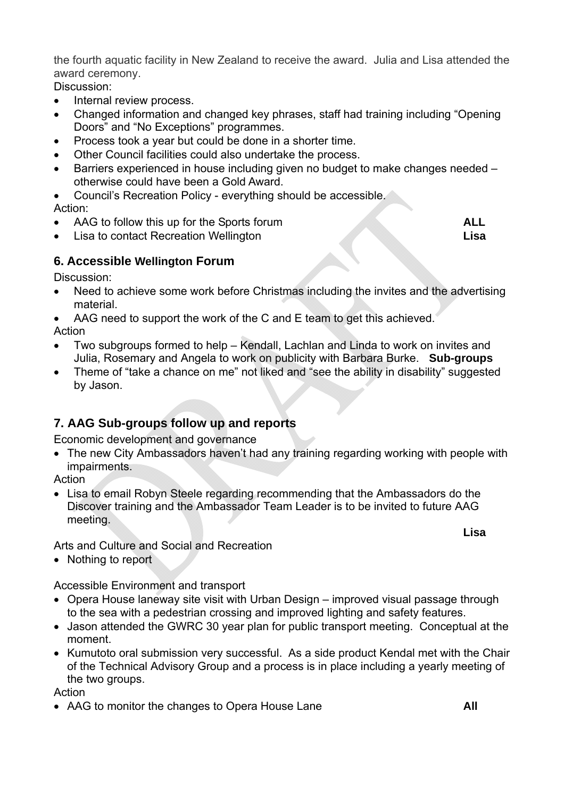the fourth aquatic facility in New Zealand to receive the award. Julia and Lisa attended the award ceremony.

Discussion:

- Internal review process.
- Changed information and changed key phrases, staff had training including "Opening Doors" and "No Exceptions" programmes.
- Process took a year but could be done in a shorter time.
- Other Council facilities could also undertake the process.
- Barriers experienced in house including given no budget to make changes needed otherwise could have been a Gold Award.
- Council's Recreation Policy everything should be accessible.

Action:

- AAG to follow this up for the Sports forum **ALL**
- Lisa to contact Recreation Wellington **Lisa**

### **6. Accessible Wellington Forum**

Discussion:

- Need to achieve some work before Christmas including the invites and the advertising material.
- AAG need to support the work of the C and E team to get this achieved.

Action

- Two subgroups formed to help Kendall, Lachlan and Linda to work on invites and Julia, Rosemary and Angela to work on publicity with Barbara Burke. **Sub-groups**
- Theme of "take a chance on me" not liked and "see the ability in disability" suggested by Jason.

### **7. AAG Sub-groups follow up and reports**

Economic development and governance

 The new City Ambassadors haven't had any training regarding working with people with impairments.

Action

 Lisa to email Robyn Steele regarding recommending that the Ambassadors do the Discover training and the Ambassador Team Leader is to be invited to future AAG meeting. **Lisa** 

Arts and Culture and Social and Recreation

• Nothing to report

Accessible Environment and transport

- Opera House laneway site visit with Urban Design improved visual passage through to the sea with a pedestrian crossing and improved lighting and safety features.
- Jason attended the GWRC 30 year plan for public transport meeting. Conceptual at the moment.
- Kumutoto oral submission very successful. As a side product Kendal met with the Chair of the Technical Advisory Group and a process is in place including a yearly meeting of the two groups.

**Action** 

AAG to monitor the changes to Opera House Lane **All**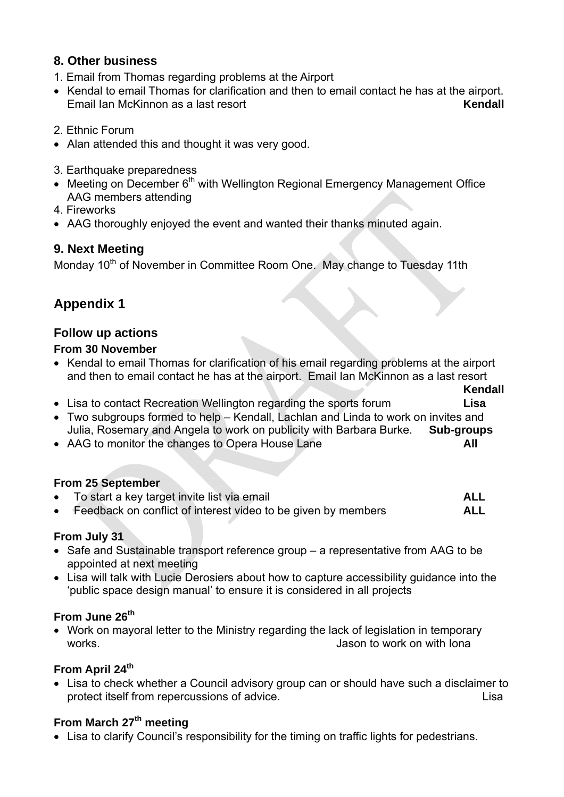### **8. Other business**

- 1. Email from Thomas regarding problems at the Airport
- Kendal to email Thomas for clarification and then to email contact he has at the airport. Email Ian McKinnon as a last resort **Kendall**
- 2. Ethnic Forum
- Alan attended this and thought it was very good.
- 3. Earthquake preparedness
- Meeting on December  $6<sup>th</sup>$  with Wellington Regional Emergency Management Office AAG members attending
- 4. Fireworks
- AAG thoroughly enjoyed the event and wanted their thanks minuted again.

### **9. Next Meeting**

Monday 10<sup>th</sup> of November in Committee Room One. May change to Tuesday 11th

# **Appendix 1**

### **Follow up actions**

### **From 30 November**

- Kendal to email Thomas for clarification of his email regarding problems at the airport and then to email contact he has at the airport. Email Ian McKinnon as a last resort
	- **Kendall Kendall**
- Lisa to contact Recreation Wellington regarding the sports forum **Lisa**
- Two subgroups formed to help Kendall, Lachlan and Linda to work on invites and Julia, Rosemary and Angela to work on publicity with Barbara Burke. **Sub-groups**
- AAG to monitor the changes to Opera House Lane **All**

### **From 25 September**

 To start a key target invite list via email **ALL** Feedback on conflict of interest video to be given by members **ALL**

### **From July 31**

- Safe and Sustainable transport reference group a representative from AAG to be appointed at next meeting
- Lisa will talk with Lucie Derosiers about how to capture accessibility guidance into the 'public space design manual' to ensure it is considered in all projects

### **From June 26th**

 Work on mayoral letter to the Ministry regarding the lack of legislation in temporary works. **Jason to work on with Iona** 

### **From April 24th**

 Lisa to check whether a Council advisory group can or should have such a disclaimer to protect itself from repercussions of advice. The same state of the state of the state of the state of the state of the state of the state of the state of the state of the state of the state of the state of the state of the

### From March 27<sup>th</sup> meeting

Lisa to clarify Council's responsibility for the timing on traffic lights for pedestrians.